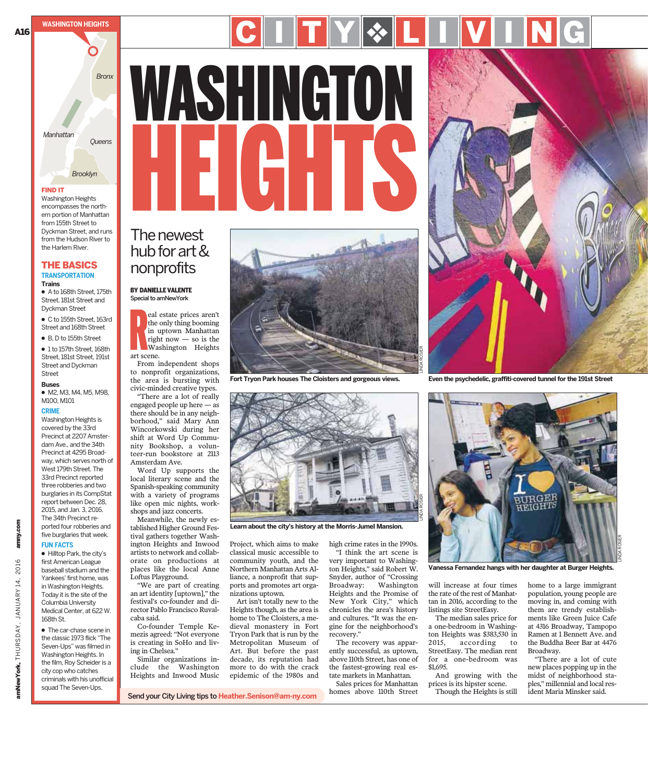THE BASICS **TRANSPORTATION**

Washington Heights encompasses the northern portion of Manhattan from 155th Street to Dyckman Street, and runs from the Hudson River to the Harlem River.

● A to 168th Street, 175th Street, 181st Street and Dyckman Street ● C to 155th Street, 163rd Street and 168th Street ● B, D to 155th Street ● 1 to 157th Street, 168th Street, 181st Street, 191st Street and Dyckman

● M2, M3, M4, M5, M98,

Washington Heights is covered by the 33rd Precinct at 2207 Amsterdam Ave., and the 34th Precinct at 4295 Broadway, which serves north of West 179th Street. The 33rd Precinct reported

**Trains**

Street **Buses**

M100, M101 **CRIME**

**WASHINGTON HEIGHTS**

# *Bronx* WASHINGTON WAO THULU<br>HEIGHTS C I T Y & L I V I N G

# The newest hub forart& nonprofits

#### BY DANIELLE VALENTE Special to amNewYork

R<br>art see eal estate prices aren't the only thing booming in uptown Manhattan right now  $-$  so is the Washington Heights art scene.

From independent shops to nonprofit organizations, the area is bursting with civic-minded creative types.

"There are a lot of really engaged people up here — as there should be in any neighborhood," said Mary Ann Wincorkowski during her shift at Word Up Community Bookshop, a volunteer-run bookstore at 2113 Amsterdam Ave.

Word Up supports the local literary scene and the Spanish-speaking community with a variety of programs like open mic nights, workshops and jazz concerts.

Meanwhile, the newly established Higher Ground Festival gathers together Washington Heights and Inwood artists to network and collaborate on productions at places like the local Anne Loftus Playground.

"We are part of creating an art identity [uptown]," the festival's co-founder and director Pablo Francisco Ruvalcaba said.

Co-founder Temple Kemezis agreed: "Not everyone is creating in SoHo and living in Chelsea."

Similar organizations include the Washington Heights and Inwood Music

Send your City Living tips to **Heather.Senison@am-ny.com**



**Learn about the city's history at the Morris-Jumel Mansion.**

Project, which aims to make classical music accessible to community youth, and the Northern Manhattan Arts Alliance, a nonprofit that supports and promotes art organizations uptown. Art isn't totally new to the

Heights though, as the area is home to The Cloisters, a medieval monastery in Fort Tryon Park that is run by the Metropolitan Museum of Art. But before the past decade, its reputation had more to do with the crack epidemic of the 1980s and

high crime rates in the 1990s. "I think the art scene is very important to Washington Heights," said Robert W. Snyder, author of "Crossing Broadway: Washington Heights and the Promise of New York City," which chronicles the area's history and cultures. "It was the engine for the neighborhood's recovery."

LINDA ROSIER

The recovery was apparently successful, as uptown, above 110th Street, has one of the fastest-growing real estate markets in Manhattan.

Sales prices for Manhattan homes above 110th Street



**Even the psychedelic, graffiti-covered tunnel for the 191st Street**



**Vanessa Fernandez hangs with her daughter at Burger Heights.**

will increase at four times the rate of the rest of Manhattan in 2016, according to the listings site StreetEasy. The median sales price for

a one-bedroom in Washington Heights was \$383,530 in 2015, according to StreetEasy. The median rent for a one-bedroom was \$1,695.

And growing with the prices is its hipster scene. Though the Heights is still home to a large immigrant population, young people are moving in, and coming with them are trendy establishments like Green Juice Cafe at 4316 Broadway, Tampopo Ramen at 1 Bennett Ave. and the Buddha Beer Bar at 4476 Broadway.

"There are a lot of cute new places popping up in the midst of neighborhood staples," millennial and local resident Maria Minsker said.



**Fort Tryon Park houses The Cloisters and gorgeous views.**

amNewYork, THURSDAY, JANUARY 14, 2016 amny.com

amNewYork, THURSDAY, JANUARY 14,

amny.com

2016

Washington Heights. In the film, Roy Scheider is a city cop who catches criminals with his unofficial squad The Seven-Ups.